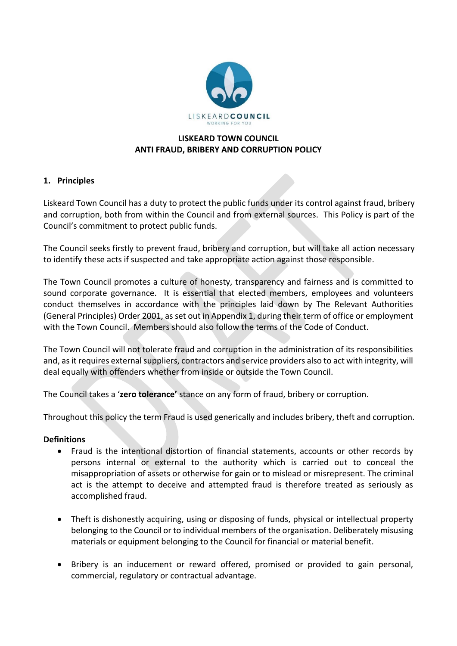

# **LISKEARD TOWN COUNCIL ANTI FRAUD, BRIBERY AND CORRUPTION POLICY**

# **1. Principles**

Liskeard Town Council has a duty to protect the public funds under its control against fraud, bribery and corruption, both from within the Council and from external sources. This Policy is part of the Council's commitment to protect public funds.

The Council seeks firstly to prevent fraud, bribery and corruption, but will take all action necessary to identify these acts if suspected and take appropriate action against those responsible.

The Town Council promotes a culture of honesty, transparency and fairness and is committed to sound corporate governance. It is essential that elected members, employees and volunteers conduct themselves in accordance with the principles laid down by The Relevant Authorities (General Principles) Order 2001, as set out in Appendix 1, during their term of office or employment with the Town Council. Members should also follow the terms of the Code of Conduct.

The Town Council will not tolerate fraud and corruption in the administration of its responsibilities and, as it requires external suppliers, contractors and service providers also to act with integrity, will deal equally with offenders whether from inside or outside the Town Council.

The Council takes a '**zero tolerance'** stance on any form of fraud, bribery or corruption.

Throughout this policy the term Fraud is used generically and includes bribery, theft and corruption.

## **Definitions**

- Fraud is the intentional distortion of financial statements, accounts or other records by persons internal or external to the authority which is carried out to conceal the misappropriation of assets or otherwise for gain or to mislead or misrepresent. The criminal act is the attempt to deceive and attempted fraud is therefore treated as seriously as accomplished fraud.
- Theft is dishonestly acquiring, using or disposing of funds, physical or intellectual property belonging to the Council or to individual members of the organisation. Deliberately misusing materials or equipment belonging to the Council for financial or material benefit.
- Bribery is an inducement or reward offered, promised or provided to gain personal, commercial, regulatory or contractual advantage.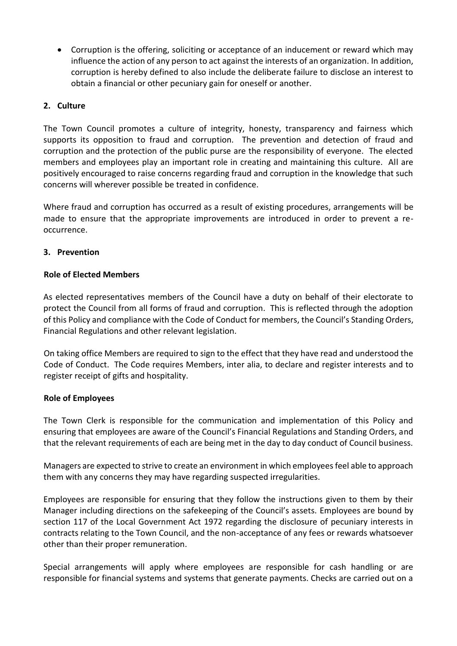• Corruption is the offering, soliciting or acceptance of an inducement or reward which may influence the action of any person to act against the interests of an organization. In addition, corruption is hereby defined to also include the deliberate failure to disclose an interest to obtain a financial or other pecuniary gain for oneself or another.

## **2. Culture**

The Town Council promotes a culture of integrity, honesty, transparency and fairness which supports its opposition to fraud and corruption. The prevention and detection of fraud and corruption and the protection of the public purse are the responsibility of everyone. The elected members and employees play an important role in creating and maintaining this culture. All are positively encouraged to raise concerns regarding fraud and corruption in the knowledge that such concerns will wherever possible be treated in confidence.

Where fraud and corruption has occurred as a result of existing procedures, arrangements will be made to ensure that the appropriate improvements are introduced in order to prevent a reoccurrence.

## **3. Prevention**

## **Role of Elected Members**

As elected representatives members of the Council have a duty on behalf of their electorate to protect the Council from all forms of fraud and corruption. This is reflected through the adoption of this Policy and compliance with the Code of Conduct for members, the Council's Standing Orders, Financial Regulations and other relevant legislation.

On taking office Members are required to sign to the effect that they have read and understood the Code of Conduct. The Code requires Members, inter alia, to declare and register interests and to register receipt of gifts and hospitality.

## **Role of Employees**

The Town Clerk is responsible for the communication and implementation of this Policy and ensuring that employees are aware of the Council's Financial Regulations and Standing Orders, and that the relevant requirements of each are being met in the day to day conduct of Council business.

Managers are expected to strive to create an environment in which employees feel able to approach them with any concerns they may have regarding suspected irregularities.

Employees are responsible for ensuring that they follow the instructions given to them by their Manager including directions on the safekeeping of the Council's assets. Employees are bound by section 117 of the Local Government Act 1972 regarding the disclosure of pecuniary interests in contracts relating to the Town Council, and the non-acceptance of any fees or rewards whatsoever other than their proper remuneration.

Special arrangements will apply where employees are responsible for cash handling or are responsible for financial systems and systems that generate payments. Checks are carried out on a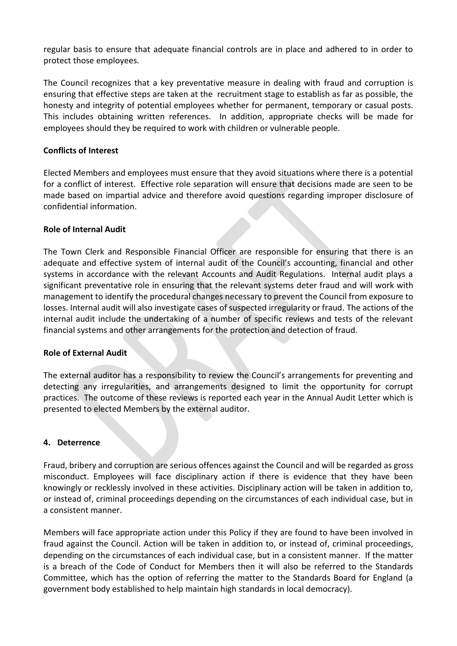regular basis to ensure that adequate financial controls are in place and adhered to in order to protect those employees.

The Council recognizes that a key preventative measure in dealing with fraud and corruption is ensuring that effective steps are taken at the recruitment stage to establish as far as possible, the honesty and integrity of potential employees whether for permanent, temporary or casual posts. This includes obtaining written references. In addition, appropriate checks will be made for employees should they be required to work with children or vulnerable people.

## **Conflicts of Interest**

Elected Members and employees must ensure that they avoid situations where there is a potential for a conflict of interest. Effective role separation will ensure that decisions made are seen to be made based on impartial advice and therefore avoid questions regarding improper disclosure of confidential information.

## **Role of Internal Audit**

The Town Clerk and Responsible Financial Officer are responsible for ensuring that there is an adequate and effective system of internal audit of the Council's accounting, financial and other systems in accordance with the relevant Accounts and Audit Regulations. Internal audit plays a significant preventative role in ensuring that the relevant systems deter fraud and will work with management to identify the procedural changes necessary to prevent the Council from exposure to losses. Internal audit will also investigate cases of suspected irregularity or fraud. The actions of the internal audit include the undertaking of a number of specific reviews and tests of the relevant financial systems and other arrangements for the protection and detection of fraud.

## **Role of External Audit**

The external auditor has a responsibility to review the Council's arrangements for preventing and detecting any irregularities, and arrangements designed to limit the opportunity for corrupt practices. The outcome of these reviews is reported each year in the Annual Audit Letter which is presented to elected Members by the external auditor.

## **4. Deterrence**

Fraud, bribery and corruption are serious offences against the Council and will be regarded as gross misconduct. Employees will face disciplinary action if there is evidence that they have been knowingly or recklessly involved in these activities. Disciplinary action will be taken in addition to, or instead of, criminal proceedings depending on the circumstances of each individual case, but in a consistent manner.

Members will face appropriate action under this Policy if they are found to have been involved in fraud against the Council. Action will be taken in addition to, or instead of, criminal proceedings, depending on the circumstances of each individual case, but in a consistent manner. If the matter is a breach of the Code of Conduct for Members then it will also be referred to the Standards Committee, which has the option of referring the matter to the Standards Board for England (a government body established to help maintain high standards in local democracy).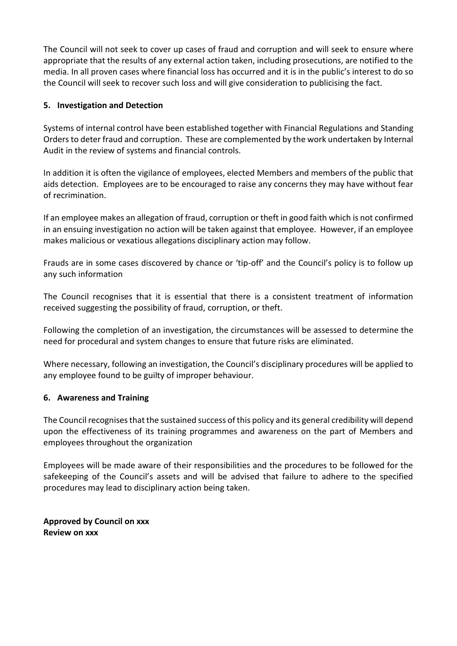The Council will not seek to cover up cases of fraud and corruption and will seek to ensure where appropriate that the results of any external action taken, including prosecutions, are notified to the media. In all proven cases where financial loss has occurred and it is in the public's interest to do so the Council will seek to recover such loss and will give consideration to publicising the fact.

# **5. Investigation and Detection**

Systems of internal control have been established together with Financial Regulations and Standing Orders to deter fraud and corruption. These are complemented by the work undertaken by Internal Audit in the review of systems and financial controls.

In addition it is often the vigilance of employees, elected Members and members of the public that aids detection. Employees are to be encouraged to raise any concerns they may have without fear of recrimination.

If an employee makes an allegation of fraud, corruption or theft in good faith which is not confirmed in an ensuing investigation no action will be taken against that employee. However, if an employee makes malicious or vexatious allegations disciplinary action may follow.

Frauds are in some cases discovered by chance or 'tip-off' and the Council's policy is to follow up any such information

The Council recognises that it is essential that there is a consistent treatment of information received suggesting the possibility of fraud, corruption, or theft.

Following the completion of an investigation, the circumstances will be assessed to determine the need for procedural and system changes to ensure that future risks are eliminated.

Where necessary, following an investigation, the Council's disciplinary procedures will be applied to any employee found to be guilty of improper behaviour.

## **6. Awareness and Training**

The Council recognises that the sustained success of this policy and its general credibility will depend upon the effectiveness of its training programmes and awareness on the part of Members and employees throughout the organization

Employees will be made aware of their responsibilities and the procedures to be followed for the safekeeping of the Council's assets and will be advised that failure to adhere to the specified procedures may lead to disciplinary action being taken.

**Approved by Council on xxx Review on xxx**